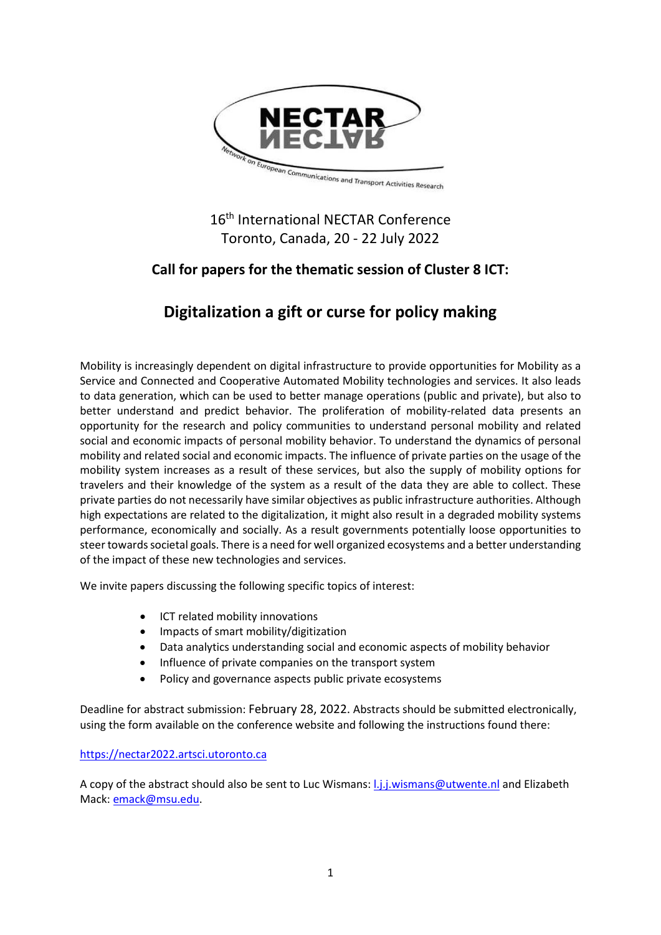

## 16<sup>th</sup> International NECTAR Conference Toronto, Canada, 20 - 22 July 2022

## **Call for papers for the thematic session of Cluster 8 ICT:**

# **Digitalization a gift or curse for policy making**

Mobility is increasingly dependent on digital infrastructure to provide opportunities for Mobility as a Service and Connected and Cooperative Automated Mobility technologies and services. It also leads to data generation, which can be used to better manage operations (public and private), but also to better understand and predict behavior. The proliferation of mobility-related data presents an opportunity for the research and policy communities to understand personal mobility and related social and economic impacts of personal mobility behavior. To understand the dynamics of personal mobility and related social and economic impacts. The influence of private parties on the usage of the mobility system increases as a result of these services, but also the supply of mobility options for travelers and their knowledge of the system as a result of the data they are able to collect. These private parties do not necessarily have similar objectives as public infrastructure authorities. Although high expectations are related to the digitalization, it might also result in a degraded mobility systems performance, economically and socially. As a result governments potentially loose opportunities to steer towards societal goals. There is a need for well organized ecosystems and a better understanding of the impact of these new technologies and services.

We invite papers discussing the following specific topics of interest:

- ICT related mobility innovations
- Impacts of smart mobility/digitization
- Data analytics understanding social and economic aspects of mobility behavior
- Influence of private companies on the transport system
- Policy and governance aspects public private ecosystems

Deadline for abstract submission: February 28, 2022. Abstracts should be submitted electronically, using the form available on the conference website and following the instructions found there:

### [https://nectar2022.artsci.utoronto.ca](https://nectar2022.artsci.utoronto.ca/)

A copy of the abstract should also be sent to Luc Wismans[: l.j.j.wismans@utwente.nl](mailto:l.j.j.wismans@utwente.nl) and Elizabeth Mack: [emack@msu.edu.](mailto:emack@msu.edu)